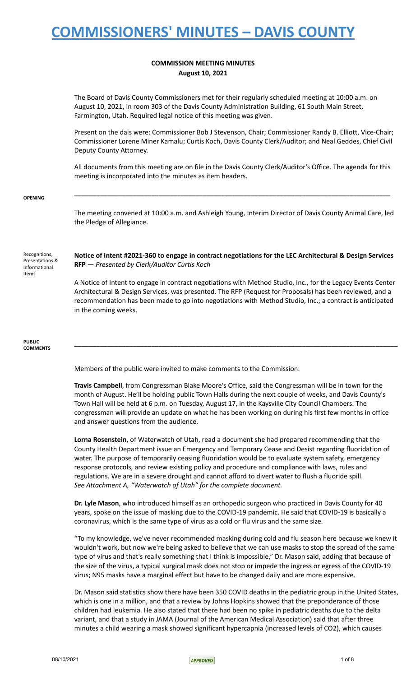### **COMMISSION MEETING MINUTES August 10, 2021**

The Board of Davis County Commissioners met for their regularly scheduled meeting at 10:00 a.m. on August 10, 2021, in room 303 of the Davis County Administration Building, 61 South Main Street, Farmington, Utah. Required legal notice of this meeting was given.

Present on the dais were: Commissioner Bob J Stevenson, Chair; Commissioner Randy B. Elliott, Vice-Chair; Commissioner Lorene Miner Kamalu; Curtis Koch, Davis County Clerk/Auditor; and Neal Geddes, Chief Civil Deputy County Attorney.

All documents from this meeting are on file in the Davis County Clerk/Auditor's Office. The agenda for this meeting is incorporated into the minutes as item headers.

**\_\_\_\_\_\_\_\_\_\_\_\_\_\_\_\_\_\_\_\_\_\_\_\_\_\_\_\_\_\_\_\_\_\_\_\_\_\_\_\_\_\_\_\_\_\_\_\_\_\_\_\_\_\_\_\_\_\_\_\_\_\_\_\_\_\_\_\_\_\_\_\_\_\_\_\_\_\_\_\_\_\_\_\_\_\_**

#### **OPENING**

The meeting convened at 10:00 a.m. and Ashleigh Young, Interim Director of Davis County Animal Care, led the Pledge of Allegiance.

Recognitions, Presentations & Informational Items

**Notice of Intent #2021-360 to engage in contract negotiations for the LEC Architectural & Design Services RFP** — *Presented by Clerk/Auditor Curtis Koch*

A Notice of Intent to engage in contract negotiations with Method Studio, Inc., for the Legacy Events Center Architectural & Design Services, was presented. The RFP (Request for Proposals) has been reviewed, and a recommendation has been made to go into negotiations with Method Studio, Inc.; a contract is anticipated in the coming weeks.

**\_\_\_\_\_\_\_\_\_\_\_\_\_\_\_\_\_\_\_\_\_\_\_\_\_\_\_\_\_\_\_\_\_\_\_\_\_\_\_\_\_\_\_\_\_\_\_\_\_\_\_\_\_\_\_\_\_\_\_\_\_\_\_\_\_\_\_\_\_\_\_\_\_\_\_\_\_\_\_\_\_\_\_\_\_\_\_\_**

#### **PUBLIC COMMENTS**

Members of the public were invited to make comments to the Commission.

**Travis Campbell**, from Congressman Blake Moore's Office, said the Congressman will be in town for the month of August. He'll be holding public Town Halls during the next couple of weeks, and Davis County's Town Hall will be held at 6 p.m. on Tuesday, August 17, in the Kaysville City Council Chambers. The congressman will provide an update on what he has been working on during his first few months in office and answer questions from the audience.

**Lorna Rosenstein**, of Waterwatch of Utah, read a document she had prepared recommending that the County Health Department issue an Emergency and Temporary Cease and Desist regarding fluoridation of water. The purpose of temporarily ceasing fluoridation would be to evaluate system safety, emergency response protocols, and review existing policy and procedure and compliance with laws, rules and regulations. We are in a severe drought and cannot afford to divert water to flush a fluoride spill. *See Attachment A, "Waterwatch of Utah" for the complete document.*

**Dr. Lyle Mason**, who introduced himself as an orthopedic surgeon who practiced in Davis County for 40 years, spoke on the issue of masking due to the COVID-19 pandemic. He said that COVID-19 is basically a coronavirus, which is the same type of virus as a cold or flu virus and the same size.

"To my knowledge, we've never recommended masking during cold and flu season here because we knew it wouldn't work, but now we're being asked to believe that we can use masks to stop the spread of the same type of virus and that's really something that I think is impossible," Dr. Mason said, adding that because of the size of the virus, a typical surgical mask does not stop or impede the ingress or egress of the COVID-19 virus; N95 masks have a marginal effect but have to be changed daily and are more expensive.

Dr. Mason said statistics show there have been 350 COVID deaths in the pediatric group in the United States, which is one in a million, and that a review by Johns Hopkins showed that the preponderance of those children had leukemia. He also stated that there had been no spike in pediatric deaths due to the delta variant, and that a study in JAMA (Journal of the American Medical Association) said that after three minutes a child wearing a mask showed significant hypercapnia (increased levels of CO2), which causes

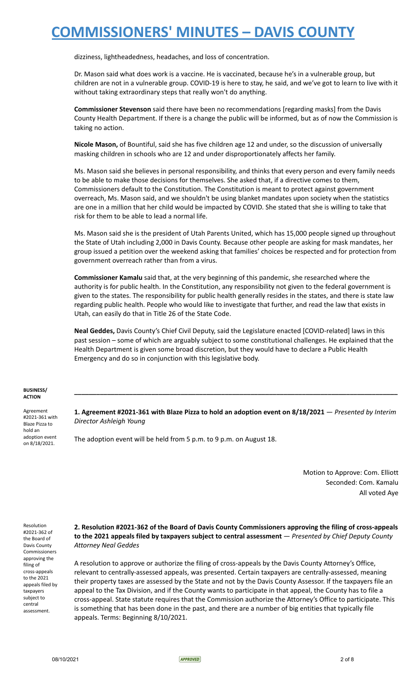dizziness, lightheadedness, headaches, and loss of concentration.

Dr. Mason said what does work is a vaccine. He is vaccinated, because he's in a vulnerable group, but children are not in a vulnerable group. COVID-19 is here to stay, he said, and we've got to learn to live with it without taking extraordinary steps that really won't do anything.

**Commissioner Stevenson** said there have been no recommendations [regarding masks] from the Davis County Health Department. If there is a change the public will be informed, but as of now the Commission is taking no action.

**Nicole Mason,** of Bountiful, said she has five children age 12 and under, so the discussion of universally masking children in schools who are 12 and under disproportionately affects her family.

Ms. Mason said she believes in personal responsibility, and thinks that every person and every family needs to be able to make those decisions for themselves. She asked that, if a directive comes to them, Commissioners default to the Constitution. The Constitution is meant to protect against government overreach, Ms. Mason said, and we shouldn't be using blanket mandates upon society when the statistics are one in a million that her child would be impacted by COVID. She stated that she is willing to take that risk for them to be able to lead a normal life.

Ms. Mason said she is the president of Utah Parents United, which has 15,000 people signed up throughout the State of Utah including 2,000 in Davis County. Because other people are asking for mask mandates, her group issued a petition over the weekend asking that families' choices be respected and for protection from government overreach rather than from a virus.

**Commissioner Kamalu** said that, at the very beginning of this pandemic, she researched where the authority is for public health. In the Constitution, any responsibility not given to the federal government is given to the states. The responsibility for public health generally resides in the states, and there is state law regarding public health. People who would like to investigate that further, and read the law that exists in Utah, can easily do that in Title 26 of the State Code.

**Neal Geddes,** Davis County's Chief Civil Deputy, said the Legislature enacted [COVID-related] laws in this past session – some of which are arguably subject to some constitutional challenges. He explained that the Health Department is given some broad discretion, but they would have to declare a Public Health Emergency and do so in conjunction with this legislative body.

#### **BUSINESS/ ACTION**

Agreement #2021-361 with Blaze Pizza to hold an adoption event on 8/18/2021.

**1. Agreement #2021-361 with Blaze Pizza to hold an adoption event on 8/18/2021** — *Presented by Interim Director Ashleigh Young*

**\_\_\_\_\_\_\_\_\_\_\_\_\_\_\_\_\_\_\_\_\_\_\_\_\_\_\_\_\_\_\_\_\_\_\_\_\_\_\_\_\_\_\_\_\_\_\_\_\_\_\_\_\_\_\_\_\_\_\_\_\_\_\_\_\_\_\_\_\_\_\_\_\_\_\_\_\_\_\_\_\_\_\_\_\_\_\_\_**

The adoption event will be held from 5 p.m. to 9 p.m. on August 18.

Motion to Approve: Com. Elliott Seconded: Com. Kamalu All voted Aye

Resolution #2021-362 of the Board of Davis County Commissioners approving the filing of cross-appeals to the 2021 appeals filed by taxpayers subject to central assessment.

#### **2. Resolution #2021-362 of the Board of Davis County Commissioners approving the filing of cross-appeals to the 2021 appeals filed by taxpayers subject to central assessment** — *Presented by Chief Deputy County Attorney Neal Geddes*

A resolution to approve or authorize the filing of cross-appeals by the Davis County Attorney's Office, relevant to centrally-assessed appeals, was presented. Certain taxpayers are centrally-assessed, meaning their property taxes are assessed by the State and not by the Davis County Assessor. If the taxpayers file an appeal to the Tax Division, and if the County wants to participate in that appeal, the County has to file a cross-appeal. State statute requires that the Commission authorize the Attorney's Office to participate. This is something that has been done in the past, and there are a number of big entities that typically file appeals. Terms: Beginning 8/10/2021.

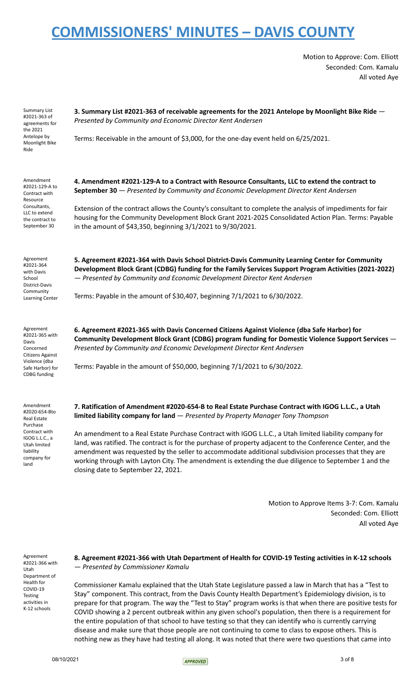Motion to Approve: Com. Elliott Seconded: Com. Kamalu All voted Aye

| Summary List<br>#2021-363 of<br>agreements for<br>the 2021                   | 3. Summary List #2021-363 of receivable agreements for the 2021 Antelope by Moonlight Bike Ride -<br>Presented by Community and Economic Director Kent Andersen                                                                                                                                                                                                                                                                       |
|------------------------------------------------------------------------------|---------------------------------------------------------------------------------------------------------------------------------------------------------------------------------------------------------------------------------------------------------------------------------------------------------------------------------------------------------------------------------------------------------------------------------------|
| Antelope by<br>Moonlight Bike<br>Ride                                        | Terms: Receivable in the amount of \$3,000, for the one-day event held on 6/25/2021.                                                                                                                                                                                                                                                                                                                                                  |
| Amendment<br>#2021-129-A to<br>Contract with<br>Resource                     | 4. Amendment #2021-129-A to a Contract with Resource Consultants, LLC to extend the contract to<br>September 30 - Presented by Community and Economic Development Director Kent Andersen                                                                                                                                                                                                                                              |
| Consultants,<br>LLC to extend<br>the contract to<br>September 30             | Extension of the contract allows the County's consultant to complete the analysis of impediments for fair<br>housing for the Community Development Block Grant 2021-2025 Consolidated Action Plan. Terms: Payable<br>in the amount of \$43,350, beginning 3/1/2021 to 9/30/2021.                                                                                                                                                      |
| Agreement<br>#2021-364<br>with Davis<br>School<br>District-Davis             | 5. Agreement #2021-364 with Davis School District-Davis Community Learning Center for Community<br>Development Block Grant (CDBG) funding for the Family Services Support Program Activities (2021-2022)<br>- Presented by Community and Economic Development Director Kent Andersen                                                                                                                                                  |
| Community<br><b>Learning Center</b>                                          | Terms: Payable in the amount of \$30,407, beginning 7/1/2021 to 6/30/2022.                                                                                                                                                                                                                                                                                                                                                            |
| Agreement<br>#2021-365 with<br>Davis<br>Concerned<br><b>Citizens Against</b> | 6. Agreement #2021-365 with Davis Concerned Citizens Against Violence (dba Safe Harbor) for<br>Community Development Block Grant (CDBG) program funding for Domestic Violence Support Services -<br>Presented by Community and Economic Development Director Kent Andersen                                                                                                                                                            |
| Violence (dba<br>Safe Harbor) for<br><b>CDBG</b> funding                     | Terms: Payable in the amount of \$50,000, beginning 7/1/2021 to 6/30/2022.                                                                                                                                                                                                                                                                                                                                                            |
| Amendment<br>#2020-654-Bto<br>Real Estate<br>Purchase                        | 7. Ratification of Amendment #2020-654-B to Real Estate Purchase Contract with IGOG L.L.C., a Utah<br>limited liability company for land - Presented by Property Manager Tony Thompson                                                                                                                                                                                                                                                |
| Contract with<br>IGOG L.L.C., a<br>Utah limited<br>liability<br>company for  | An amendment to a Real Estate Purchase Contract with IGOG L.L.C., a Utah limited liability company for<br>land, was ratified. The contract is for the purchase of property adjacent to the Conference Center, and the<br>amendment was requested by the seller to accommodate additional subdivision processes that they are<br>working through with Layton City. The amondment is extending the due diligence to Sentember 1 and the |

amendment was requested by the seller to accommodate additional subdivision processes that they are working through with Layton City. The amendment is extending the due diligence to September 1 and the closing date to September 22, 2021.

> Motion to Approve Items 3-7: Com. Kamalu Seconded: Com. Elliott All voted Aye

Agreement #2021-366 with Utah Department of Health for COVID-19 Testing activities in K-12 schools

land

#### **8. Agreement #2021-366 with Utah Department of Health for COVID-19 Testing activities in K-12 schools** — *Presented by Commissioner Kamalu*

Commissioner Kamalu explained that the Utah State Legislature passed a law in March that has a "Test to Stay" component. This contract, from the Davis County Health Department's Epidemiology division, is to prepare for that program. The way the "Test to Stay" program works is that when there are positive tests for COVID showing a 2 percent outbreak within any given school's population, then there is a requirement for the entire population of that school to have testing so that they can identify who is currently carrying disease and make sure that those people are not continuing to come to class to expose others. This is nothing new as they have had testing all along. It was noted that there were two questions that came into

 $08/10/2021$  3 of 8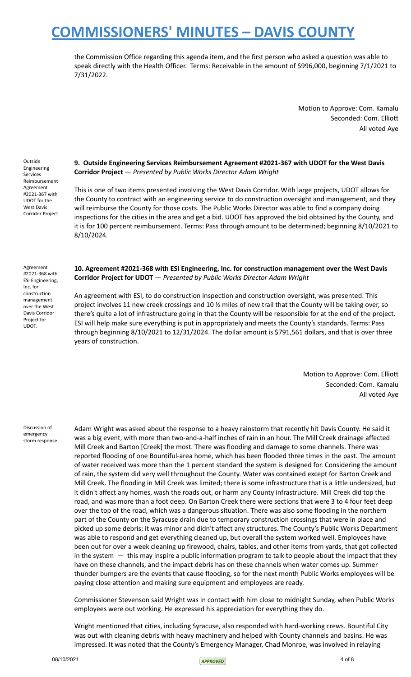the Commission Office regarding this agenda item, and the first person who asked a question was able to speak directly with the Health Officer. Terms: Receivable in the amount of \$996,000, beginning 7/1/2021 to 7/31/2022.

> Motion to Approve: Com. Kamalu Seconded: Com. Elliott All voted Aye

Outside Engineering Services Reimbursement Agreement #2021-367 with UDOT for the West Davis Corridor Project

**9. Outside Engineering Services Reimbursement Agreement #2021-367 with UDOT for the West Davis Corridor Project** — *Presented by Public Works Director Adam Wright*

This is one of two items presented involving the West Davis Corridor. With large projects, UDOT allows for the County to contract with an engineering service to do construction oversight and management, and they will reimburse the County for those costs. The Public Works Director was able to find a company doing inspections for the cities in the area and get a bid. UDOT has approved the bid obtained by the County, and it is for 100 percent reimbursement. Terms: Pass through amount to be determined; beginning 8/10/2021 to 8/10/2024.

Agreement #2021-368 with ESI Engineering, Inc. for construction management over the West Davis Corridor Project for UDOT.

**10. Agreement #2021-368 with ESI Engineering, Inc. for construction management over the West Davis Corridor Project for UDOT** — *Presented by Public Works Director Adam Wright*

An agreement with ESI, to do construction inspection and construction oversight, was presented. This project involves 11 new creek crossings and 10 % miles of new trail that the County will be taking over, so there's quite a lot of infrastructure going in that the County will be responsible for at the end of the project. ESI will help make sure everything is put in appropriately and meets the County's standards. Terms: Pass through beginning 8/10/2021 to 12/31/2024. The dollar amount is \$791,561 dollars, and that is over three years of construction.

> Motion to Approve: Com. Elliott Seconded: Com. Kamalu All voted Aye

Discussion of emergency storm response

Adam Wright was asked about the response to a heavy rainstorm that recently hit Davis County. He said it was a big event, with more than two-and-a-half inches of rain in an hour. The Mill Creek drainage affected Mill Creek and Barton [Creek] the most. There was flooding and damage to some channels. There was reported flooding of one Bountiful-area home, which has been flooded three times in the past. The amount of water received was more than the 1 percent standard the system is designed for. Considering the amount of rain, the system did very well throughout the County. Water was contained except for Barton Creek and Mill Creek. The flooding in Mill Creek was limited; there is some infrastructure that is a little undersized, but it didn't affect any homes, wash the roads out, or harm any County infrastructure. Mill Creek did top the road, and was more than a foot deep. On Barton Creek there were sections that were 3 to 4 four feet deep over the top of the road, which was a dangerous situation. There was also some flooding in the northern part of the County on the Syracuse drain due to temporary construction crossings that were in place and picked up some debris; it was minor and didn't affect any structures. The County's Public Works Department was able to respond and get everything cleaned up, but overall the system worked well. Employees have been out for over a week cleaning up firewood, chairs, tables, and other items from yards, that got collected in the system  $-$  this may inspire a public information program to talk to people about the impact that they have on these channels, and the impact debris has on these channels when water comes up. Summer thunder bumpers are the events that cause flooding, so for the next month Public Works employees will be paying close attention and making sure equipment and employees are ready.

Commissioner Stevenson said Wright was in contact with him close to midnight Sunday, when Public Works employees were out working. He expressed his appreciation for everything they do.

Wright mentioned that cities, including Syracuse, also responded with hard-working crews. Bountiful City was out with cleaning debris with heavy machinery and helped with County channels and basins. He was impressed. It was noted that the County's Emergency Manager, Chad Monroe, was involved in relaying

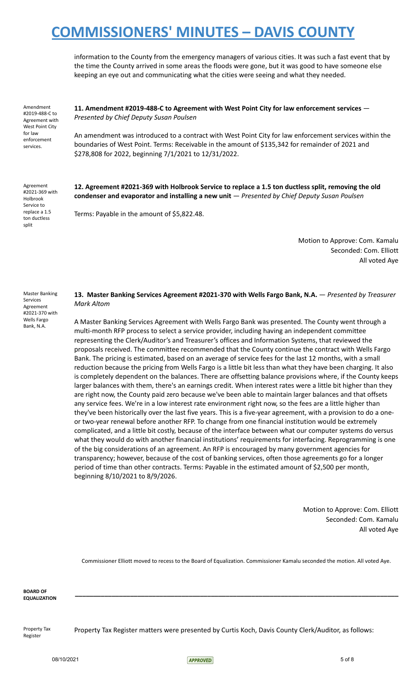information to the County from the emergency managers of various cities. It was such a fast event that by the time the County arrived in some areas the floods were gone, but it was good to have someone else keeping an eye out and communicating what the cities were seeing and what they needed.

Amendment #2019-488-C to Agreement with West Point City for law enforcement services.

**11. Amendment #2019-488-C to Agreement with West Point City for law enforcement services** — *Presented by Chief Deputy Susan Poulsen*

An amendment was introduced to a contract with West Point City for law enforcement services within the boundaries of West Point. Terms: Receivable in the amount of \$135,342 for remainder of 2021 and \$278,808 for 2022, beginning 7/1/2021 to 12/31/2022.

Agreement #2021-369 with Holbrook Service to replace a 1.5 ton ductless split

**12. Agreement #2021-369 with Holbrook Service to replace a 1.5 ton ductless split, removing the old condenser and evaporator and installing a new unit** — *Presented by Chief Deputy Susan Poulsen*

Terms: Payable in the amount of \$5,822.48.

Motion to Approve: Com. Kamalu Seconded: Com. Elliott All voted Aye

Master Banking Services Agreement #2021-370 with Wells Fargo Bank, N.A.

#### **13. Master Banking Services Agreement #2021-370 with Wells Fargo Bank, N.A.** — *Presented by Treasurer Mark Altom*

A Master Banking Services Agreement with Wells Fargo Bank was presented. The County went through a multi-month RFP process to select a service provider, including having an independent committee representing the Clerk/Auditor's and Treasurer's offices and Information Systems, that reviewed the proposals received. The committee recommended that the County continue the contract with Wells Fargo Bank. The pricing is estimated, based on an average of service fees for the last 12 months, with a small reduction because the pricing from Wells Fargo is a little bit less than what they have been charging. It also is completely dependent on the balances. There are offsetting balance provisions where, if the County keeps larger balances with them, there's an earnings credit. When interest rates were a little bit higher than they are right now, the County paid zero because we've been able to maintain larger balances and that offsets any service fees. We're in a low interest rate environment right now, so the fees are a little higher than they've been historically over the last five years. This is a five-year agreement, with a provision to do a oneor two-year renewal before another RFP. To change from one financial institution would be extremely complicated, and a little bit costly, because of the interface between what our computer systems do versus what they would do with another financial institutions' requirements for interfacing. Reprogramming is one of the big considerations of an agreement. An RFP is encouraged by many government agencies for transparency; however, because of the cost of banking services, often those agreements go for a longer period of time than other contracts. Terms: Payable in the estimated amount of \$2,500 per month, beginning 8/10/2021 to 8/9/2026.

> Motion to Approve: Com. Elliott Seconded: Com. Kamalu All voted Aye

Commissioner Elliott moved to recess to the Board of Equalization. Commissioner Kamalu seconded the motion. All voted Aye.

**\_\_\_\_\_\_\_\_\_\_\_\_\_\_\_\_\_\_\_\_\_\_\_\_\_\_\_\_\_\_\_\_\_\_\_\_\_\_\_\_\_\_\_\_\_\_\_\_\_\_\_\_\_\_\_\_\_\_\_\_\_\_\_\_\_\_\_\_\_\_\_\_\_\_\_\_\_\_\_\_\_\_\_\_\_\_\_\_**

**BOARD OF EQUALIZATION**

Property Tax Register

Property Tax Register matters were presented by Curtis Koch, Davis County Clerk/Auditor, as follows:

08/10/2021 5 of 8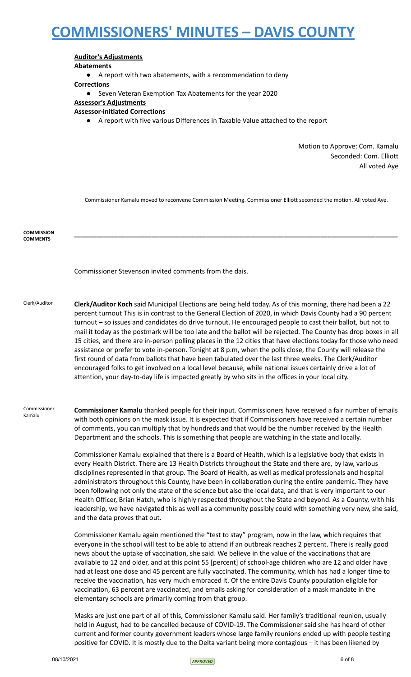### **Auditor's Adjustments**

**Abatements**

● A report with two abatements, with a recommendation to deny

#### **Corrections**

● Seven Veteran Exemption Tax Abatements for the year 2020

### **Assessor's Adjustments**

- **Assessor-initiated Corrections**
	- A report with five various Differences in Taxable Value attached to the report

Motion to Approve: Com. Kamalu Seconded: Com. Elliott All voted Aye

Commissioner Kamalu moved to reconvene Commission Meeting. Commissioner Elliott seconded the motion. All voted Aye.

**\_\_\_\_\_\_\_\_\_\_\_\_\_\_\_\_\_\_\_\_\_\_\_\_\_\_\_\_\_\_\_\_\_\_\_\_\_\_\_\_\_\_\_\_\_\_\_\_\_\_\_\_\_\_\_\_\_\_\_\_\_\_\_\_\_\_\_\_\_\_\_\_\_\_\_\_\_\_\_\_\_\_\_\_\_\_\_\_**

**COMMISSION COMMENTS**

Commissioner Stevenson invited comments from the dais.

Clerk/Auditor **Clerk/Auditor Koch** said Municipal Elections are being held today. As of this morning, there had been a 22 percent turnout This is in contrast to the General Election of 2020, in which Davis County had a 90 percent turnout – so issues and candidates do drive turnout. He encouraged people to cast their ballot, but not to mail it today as the postmark will be too late and the ballot will be rejected. The County has drop boxes in all 15 cities, and there are in-person polling places in the 12 cities that have elections today for those who need assistance or prefer to vote in-person. Tonight at 8 p.m, when the polls close, the County will release the first round of data from ballots that have been tabulated over the last three weeks. The Clerk/Auditor encouraged folks to get involved on a local level because, while national issues certainly drive a lot of attention, your day-to-day life is impacted greatly by who sits in the offices in your local city.

Commissioner Kamalu **Commissioner Kamalu** thanked people for their input. Commissioners have received a fair number of emails with both opinions on the mask issue. It is expected that if Commissioners have received a certain number of comments, you can multiply that by hundreds and that would be the number received by the Health Department and the schools. This is something that people are watching in the state and locally.

> Commissioner Kamalu explained that there is a Board of Health, which is a legislative body that exists in every Health District. There are 13 Health Districts throughout the State and there are, by law, various disciplines represented in that group. The Board of Health, as well as medical professionals and hospital administrators throughout this County, have been in collaboration during the entire pandemic. They have been following not only the state of the science but also the local data, and that is very important to our Health Officer, Brian Hatch, who is highly respected throughout the State and beyond. As a County, with his leadership, we have navigated this as well as a community possibly could with something very new, she said, and the data proves that out.

Commissioner Kamalu again mentioned the "test to stay" program, now in the law, which requires that everyone in the school will test to be able to attend if an outbreak reaches 2 percent. There is really good news about the uptake of vaccination, she said. We believe in the value of the vaccinations that are available to 12 and older, and at this point 55 [percent] of school-age children who are 12 and older have had at least one dose and 45 percent are fully vaccinated. The community, which has had a longer time to receive the vaccination, has very much embraced it. Of the entire Davis County population eligible for vaccination, 63 percent are vaccinated, and emails asking for consideration of a mask mandate in the elementary schools are primarily coming from that group.

Masks are just one part of all of this, Commissioner Kamalu said. Her family's traditional reunion, usually held in August, had to be cancelled because of COVID-19. The Commissioner said she has heard of other current and former county government leaders whose large family reunions ended up with people testing positive for COVID. It is mostly due to the Delta variant being more contagious – it has been likened by

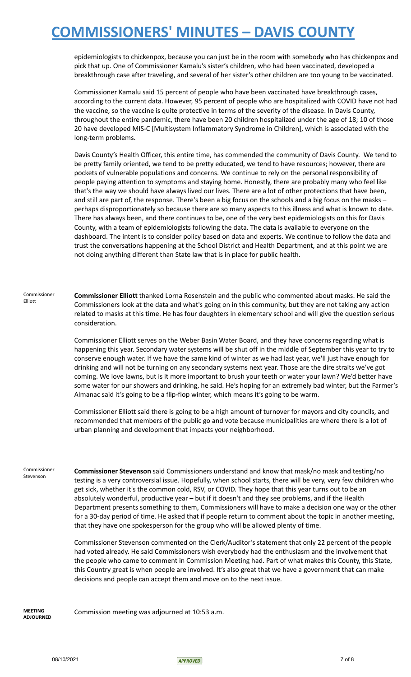epidemiologists to chickenpox, because you can just be in the room with somebody who has chickenpox and pick that up. One of Commissioner Kamalu's sister's children, who had been vaccinated, developed a breakthrough case after traveling, and several of her sister's other children are too young to be vaccinated.

Commissioner Kamalu said 15 percent of people who have been vaccinated have breakthrough cases, according to the current data. However, 95 percent of people who are hospitalized with COVID have not had the vaccine, so the vaccine is quite protective in terms of the severity of the disease. In Davis County, throughout the entire pandemic, there have been 20 children hospitalized under the age of 18; 10 of those 20 have developed MIS-C [Multisystem Inflammatory Syndrome in Children], which is associated with the long-term problems.

Davis County's Health Officer, this entire time, has commended the community of Davis County. We tend to be pretty family oriented, we tend to be pretty educated, we tend to have resources; however, there are pockets of vulnerable populations and concerns. We continue to rely on the personal responsibility of people paying attention to symptoms and staying home. Honestly, there are probably many who feel like that's the way we should have always lived our lives. There are a lot of other protections that have been, and still are part of, the response. There's been a big focus on the schools and a big focus on the masks – perhaps disproportionately so because there are so many aspects to this illness and what is known to date. There has always been, and there continues to be, one of the very best epidemiologists on this for Davis County, with a team of epidemiologists following the data. The data is available to everyone on the dashboard. The intent is to consider policy based on data and experts. We continue to follow the data and trust the conversations happening at the School District and Health Department, and at this point we are not doing anything different than State law that is in place for public health.

Commissioner Elliott **Commissioner Elliott** thanked Lorna Rosenstein and the public who commented about masks. He said the Commissioners look at the data and what's going on in this community, but they are not taking any action related to masks at this time. He has four daughters in elementary school and will give the question serious consideration.

> Commissioner Elliott serves on the Weber Basin Water Board, and they have concerns regarding what is happening this year. Secondary water systems will be shut off in the middle of September this year to try to conserve enough water. If we have the same kind of winter as we had last year, we'll just have enough for drinking and will not be turning on any secondary systems next year. Those are the dire straits we've got coming. We love lawns, but is it more important to brush your teeth or water your lawn? We'd better have some water for our showers and drinking, he said. He's hoping for an extremely bad winter, but the Farmer's Almanac said it's going to be a flip-flop winter, which means it's going to be warm.

Commissioner Elliott said there is going to be a high amount of turnover for mayors and city councils, and recommended that members of the public go and vote because municipalities are where there is a lot of urban planning and development that impacts your neighborhood.

Commissioner Stevenson **Commissioner Stevenson** said Commissioners understand and know that mask/no mask and testing/no testing is a very controversial issue. Hopefully, when school starts, there will be very, very few children who get sick, whether it's the common cold, RSV, or COVID. They hope that this year turns out to be an absolutely wonderful, productive year – but if it doesn't and they see problems, and if the Health Department presents something to them, Commissioners will have to make a decision one way or the other for a 30-day period of time. He asked that if people return to comment about the topic in another meeting, that they have one spokesperson for the group who will be allowed plenty of time.

> Commissioner Stevenson commented on the Clerk/Auditor's statement that only 22 percent of the people had voted already. He said Commissioners wish everybody had the enthusiasm and the involvement that the people who came to comment in Commission Meeting had. Part of what makes this County, this State, this Country great is when people are involved. It's also great that we have a government that can make decisions and people can accept them and move on to the next issue.

**MEETING ADJOURNED**

Commission meeting was adjourned at 10:53 a.m.

 $08/10/2021$  7 of 8